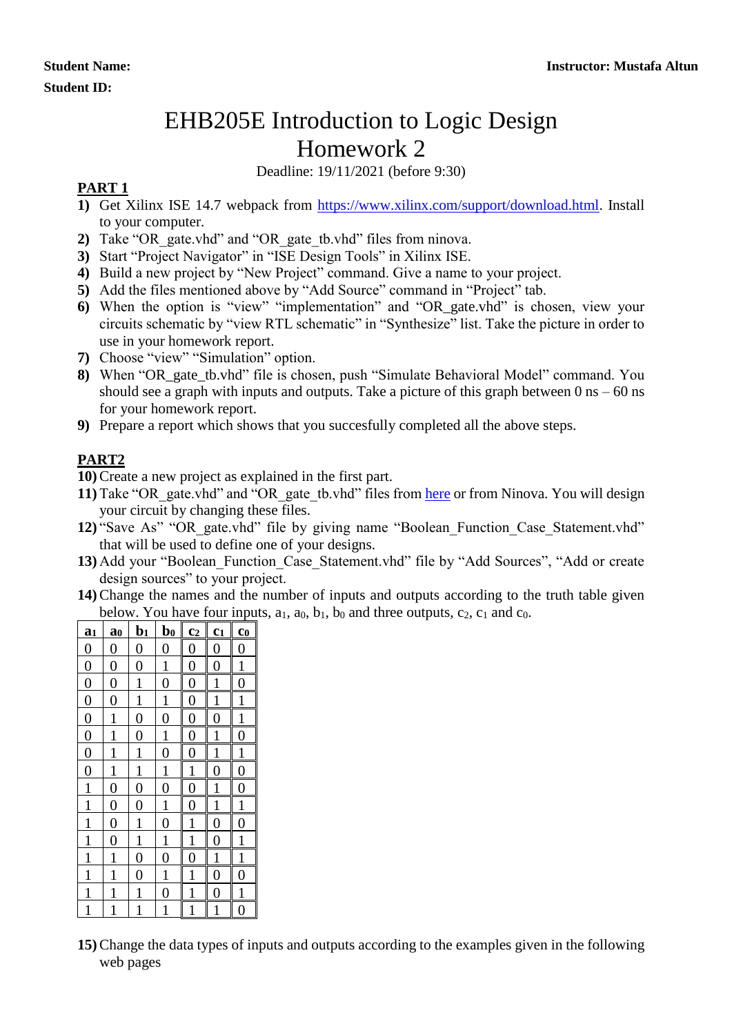## EHB205E Introduction to Logic Design Homework 2

Deadline: 19/11/2021 (before 9:30)

## **PART 1**

- **1)** Get Xilinx ISE 14.7 webpack from [https://www.xilinx.com/support/download.html.](https://www.xilinx.com/support/download.html) Install to your computer.
- **2)** Take "OR\_gate.vhd" and "OR\_gate\_tb.vhd" files from ninova.
- **3)** Start "Project Navigator" in "ISE Design Tools" in Xilinx ISE.
- **4)** Build a new project by "New Project" command. Give a name to your project.
- **5)** Add the files mentioned above by "Add Source" command in "Project" tab.
- **6)** When the option is "view" "implementation" and "OR\_gate.vhd" is chosen, view your circuits schematic by "view RTL schematic" in "Synthesize" list. Take the picture in order to use in your homework report.
- **7)** Choose "view" "Simulation" option.
- **8)** When "OR\_gate\_tb.vhd" file is chosen, push "Simulate Behavioral Model" command. You should see a graph with inputs and outputs. Take a picture of this graph between  $0 \text{ ns} - 60 \text{ ns}$ for your homework report.
- **9)** Prepare a report which shows that you succesfully completed all the above steps.

## **PART2**

**10)**Create a new project as explained in the first part.

- **11**) Take "OR\_gate.vhd" and "OR\_gate\_tb.vhd" files from [here](https://www.ecc.itu.edu.tr/images/d/d4/OR_Gates.zip) or from Ninova. You will design your circuit by changing these files.
- 12) "Save As" "OR\_gate.vhd" file by giving name "Boolean Function Case Statement.vhd" that will be used to define one of your designs.
- 13) Add your "Boolean Function Case Statement.vhd" file by "Add Sources", "Add or create design sources" to your project.
- **14)**Change the names and the number of inputs and outputs according to the truth table given below. You have four inputs,  $a_1$ ,  $a_0$ ,  $b_1$ ,  $b_0$  and three outputs,  $c_2$ ,  $c_1$  and  $c_0$ .

| a <sub>1</sub> | $\mathbf{a}_0$   | $\mathbf{b}_1$   | $\mathbf{b}_0$   | c <sub>2</sub>   | c <sub>1</sub> | $\overline{\mathbf{c}}$ |
|----------------|------------------|------------------|------------------|------------------|----------------|-------------------------|
| $\overline{0}$ | $\overline{0}$   | $\boldsymbol{0}$ | $\overline{0}$   | $\overline{0}$   | $\overline{0}$ | $\boldsymbol{0}$        |
| $\overline{0}$ | $\overline{0}$   | $\overline{0}$   | $\mathbf{1}$     | $\overline{0}$   | $\overline{0}$ | $\mathbf{1}$            |
| $\overline{0}$ | $\overline{0}$   | $\mathbf{1}$     | $\overline{0}$   | $\overline{0}$   | $\mathbf{1}$   | $\overline{0}$          |
| $\overline{0}$ | $\overline{0}$   | $\overline{1}$   | $\overline{1}$   | $\overline{0}$   | 1              | $\overline{1}$          |
| $\overline{0}$ | $\mathbf 1$      | $\overline{0}$   | $\overline{0}$   | $\overline{0}$   | $\overline{0}$ | $\mathbf{1}$            |
| $\overline{0}$ | 1                | $\overline{0}$   | $\mathbf{1}$     | $\boldsymbol{0}$ | 1              | $\overline{0}$          |
| $\overline{0}$ | $\mathbf 1$      | $\mathbf{1}$     | $\overline{0}$   | $\overline{0}$   | 1              | $\mathbf{1}$            |
| $\overline{0}$ | $\mathbf 1$      | $\mathbf{1}$     | $\mathbf{1}$     | $\mathbf{1}$     | $\overline{0}$ | $\overline{0}$          |
| $\overline{1}$ | $\boldsymbol{0}$ | $\overline{0}$   | $\overline{0}$   | $\overline{0}$   | 1              | $\overline{0}$          |
| $\mathbf{1}$   | $\overline{0}$   | $\overline{0}$   | $\mathbf{1}$     | $\overline{0}$   |                | $\mathbf{1}$            |
| $\mathbf{1}$   | $\boldsymbol{0}$ | $\mathbf{1}$     | $\boldsymbol{0}$ | 1                | $\overline{0}$ | $\overline{0}$          |
| $\overline{1}$ | $\overline{0}$   | $\mathbf{1}$     | $\overline{1}$   | 1                | $\overline{0}$ | $\mathbf{1}$            |
| $\overline{1}$ | 1                | $\overline{0}$   | $\overline{0}$   | $\overline{0}$   | 1              | $\mathbf{1}$            |
| $\mathbf{1}$   | 1                | $\overline{0}$   | $\mathbf 1$      | 1                | 0              | $\overline{0}$          |
| $\mathbf{1}$   | 1                | $\mathbf{1}$     | $\overline{0}$   |                  | 0              | 1                       |
| $\mathbf{1}$   | 1                | 1                | $\mathbf 1$      |                  |                | 0                       |

**<sup>15)</sup>**Change the data types of inputs and outputs according to the examples given in the following web pages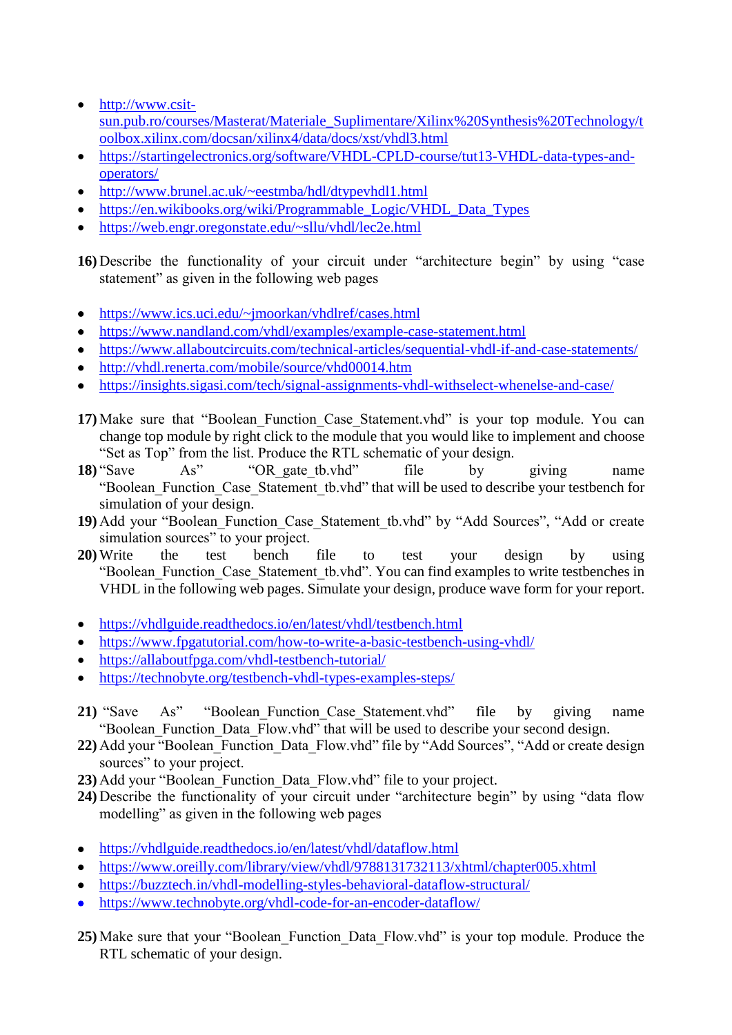- [http://www.csit](http://www.csit-sun.pub.ro/courses/Masterat/Materiale_Suplimentare/Xilinx%20Synthesis%20Technology/toolbox.xilinx.com/docsan/xilinx4/data/docs/xst/vhdl3.html)[sun.pub.ro/courses/Masterat/Materiale\\_Suplimentare/Xilinx%20Synthesis%20Technology/t](http://www.csit-sun.pub.ro/courses/Masterat/Materiale_Suplimentare/Xilinx%20Synthesis%20Technology/toolbox.xilinx.com/docsan/xilinx4/data/docs/xst/vhdl3.html) [oolbox.xilinx.com/docsan/xilinx4/data/docs/xst/vhdl3.html](http://www.csit-sun.pub.ro/courses/Masterat/Materiale_Suplimentare/Xilinx%20Synthesis%20Technology/toolbox.xilinx.com/docsan/xilinx4/data/docs/xst/vhdl3.html)
- [https://startingelectronics.org/software/VHDL-CPLD-course/tut13-VHDL-data-types-and](https://startingelectronics.org/software/VHDL-CPLD-course/tut13-VHDL-data-types-and-operators/)[operators/](https://startingelectronics.org/software/VHDL-CPLD-course/tut13-VHDL-data-types-and-operators/)
- <http://www.brunel.ac.uk/~eestmba/hdl/dtypevhdl1.html>
- [https://en.wikibooks.org/wiki/Programmable\\_Logic/VHDL\\_Data\\_Types](https://en.wikibooks.org/wiki/Programmable_Logic/VHDL_Data_Types)
- <https://web.engr.oregonstate.edu/~sllu/vhdl/lec2e.html>

**16)** Describe the functionality of your circuit under "architecture begin" by using "case statement" as given in the following web pages

- <https://www.ics.uci.edu/~jmoorkan/vhdlref/cases.html>
- <https://www.nandland.com/vhdl/examples/example-case-statement.html>
- <https://www.allaboutcircuits.com/technical-articles/sequential-vhdl-if-and-case-statements/>
- <http://vhdl.renerta.com/mobile/source/vhd00014.htm>
- <https://insights.sigasi.com/tech/signal-assignments-vhdl-withselect-whenelse-and-case/>
- 17) Make sure that "Boolean Function Case Statement.vhd" is your top module. You can change top module by right click to the module that you would like to implement and choose "Set as Top" from the list. Produce the RTL schematic of your design.
- **18**) "Save As" "OR gate tb.vhd" file by giving name "Boolean\_Function\_Case\_Statement\_tb.vhd" that will be used to describe your testbench for simulation of your design.
- **19)** Add your "Boolean\_Function\_Case\_Statement\_tb.vhd" by "Add Sources", "Add or create simulation sources" to your project.
- **20)**Write the test bench file to test your design by using "Boolean\_Function\_Case\_Statement\_tb.vhd". You can find examples to write testbenches in VHDL in the following web pages. Simulate your design, produce wave form for your report.
- <https://vhdlguide.readthedocs.io/en/latest/vhdl/testbench.html>
- https://www.fpgatutorial.com/how-to-write-a-basic-testbench-using-yhdl/
- <https://allaboutfpga.com/vhdl-testbench-tutorial/>
- <https://technobyte.org/testbench-vhdl-types-examples-steps/>
- 21) "Save As" "Boolean Function Case Statement.vhd" file by giving name "Boolean Function Data Flow.vhd" that will be used to describe your second design.
- **22)** Add your "Boolean\_Function\_Data\_Flow.vhd" file by "Add Sources", "Add or create design sources" to your project.
- 23) Add your "Boolean\_Function\_Data\_Flow.vhd" file to your project.
- **24)** Describe the functionality of your circuit under "architecture begin" by using "data flow modelling" as given in the following web pages
- <https://vhdlguide.readthedocs.io/en/latest/vhdl/dataflow.html>
- <https://www.oreilly.com/library/view/vhdl/9788131732113/xhtml/chapter005.xhtml>
- <https://buzztech.in/vhdl-modelling-styles-behavioral-dataflow-structural/>
- <https://www.technobyte.org/vhdl-code-for-an-encoder-dataflow/>
- **25)** Make sure that your "Boolean\_Function\_Data\_Flow.vhd" is your top module. Produce the RTL schematic of your design.